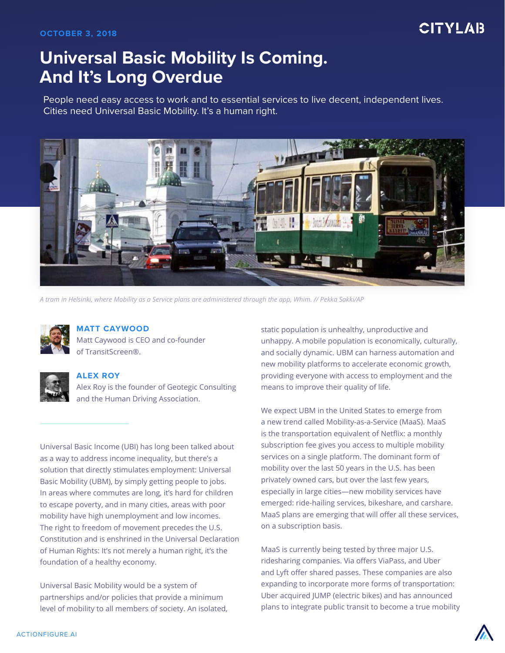## **CITYLAB**

# **Universal Basic Mobility Is Coming. And It's Long Overdue**

People need easy access to work and to essential services to live decent, independent lives. Cities need Universal Basic Mobility. It's a human right.



*A tram in Helsinki, where Mobility as a Service plans are administered through the app, Whim. // Pekka Sakki/AP*



#### **MATT CAYWOOD** Matt Caywood is CEO and co-founder

of TransitScreen®.



### **ALEX ROY**

Alex Roy is the founder of Geotegic Consulting and the Human Driving Association.

Universal Basic Income (UBI) has long been talked about as a way to address income inequality, but there's a solution that directly stimulates employment: Universal Basic Mobility (UBM), by simply getting people to jobs. In areas where commutes are long, it's hard for children to escape poverty, and in many cities, areas with poor mobility have high unemployment and low incomes. The right to freedom of movement precedes the U.S. Constitution and is enshrined in the Universal Declaration of Human Rights: It's not merely a human right, it's the foundation of a healthy economy.

Universal Basic Mobility would be a system of partnerships and/or policies that provide a minimum level of mobility to all members of society. An isolated, static population is unhealthy, unproductive and unhappy. A mobile population is economically, culturally, and socially dynamic. UBM can harness automation and new mobility platforms to accelerate economic growth, providing everyone with access to employment and the means to improve their quality of life.

We expect UBM in the United States to emerge from a new trend called Mobility-as-a-Service (MaaS). MaaS is the transportation equivalent of Netflix: a monthly subscription fee gives you access to multiple mobility services on a single platform. The dominant form of mobility over the last 50 years in the U.S. has been privately owned cars, but over the last few years, especially in large cities—new mobility services have emerged: ride-hailing services, bikeshare, and carshare. MaaS plans are emerging that will offer all these services, on a subscription basis.

MaaS is currently being tested by three major U.S. ridesharing companies. Via offers ViaPass, and Uber and Lyft offer shared passes. These companies are also expanding to incorporate more forms of transportation: Uber acquired JUMP (electric bikes) and has announced plans to integrate public transit to become a true mobility

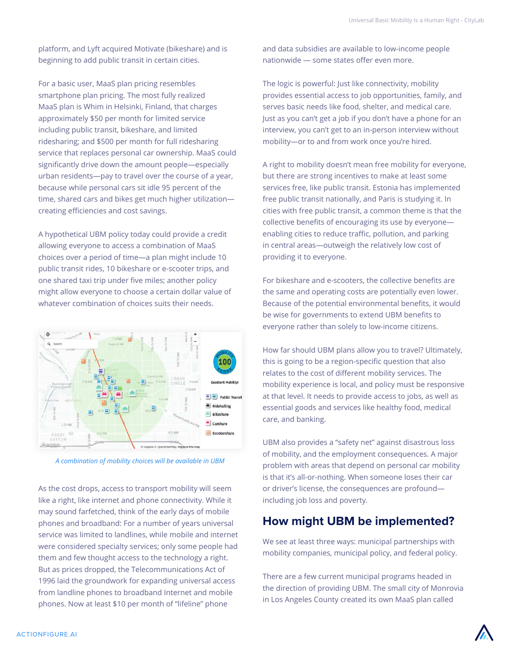platform, and Lyft acquired Motivate (bikeshare) and is beginning to add public transit in certain cities.

For a basic user, MaaS plan pricing resembles smartphone plan pricing. The most fully realized MaaS plan is Whim in Helsinki, Finland, that charges approximately \$50 per month for limited service including public transit, bikeshare, and limited ridesharing; and \$500 per month for full ridesharing service that replaces personal car ownership. MaaS could significantly drive down the amount people—especially urban residents—pay to travel over the course of a year, because while personal cars sit idle 95 percent of the time, shared cars and bikes get much higher utilization creating efficiencies and cost savings.

A hypothetical UBM policy today could provide a credit allowing everyone to access a combination of MaaS choices over a period of time—a plan might include 10 public transit rides, 10 bikeshare or e-scooter trips, and one shared taxi trip under five miles; another policy might allow everyone to choose a certain dollar value of whatever combination of choices suits their needs.



*A combination of mobility choices will be available in UBM*

As the cost drops, access to transport mobility will seem like a right, like internet and phone connectivity. While it may sound farfetched, think of the early days of mobile phones and broadband: For a number of years universal service was limited to landlines, while mobile and internet were considered specialty services; only some people had them and few thought access to the technology a right. But as prices dropped, the Telecommunications Act of 1996 laid the groundwork for expanding universal access from landline phones to broadband Internet and mobile phones. Now at least \$10 per month of "lifeline" phone

and data subsidies are available to low-income people nationwide — some states offer even more.

The logic is powerful: Just like connectivity, mobility provides essential access to job opportunities, family, and serves basic needs like food, shelter, and medical care. Just as you can't get a job if you don't have a phone for an interview, you can't get to an in-person interview without mobility—or to and from work once you're hired.

A right to mobility doesn't mean free mobility for everyone, but there are strong incentives to make at least some services free, like public transit. Estonia has implemented free public transit nationally, and Paris is studying it. In cities with free public transit, a common theme is that the collective benefits of encouraging its use by everyone enabling cities to reduce traffic, pollution, and parking in central areas—outweigh the relatively low cost of providing it to everyone.

For bikeshare and e-scooters, the collective benefits are the same and operating costs are potentially even lower. Because of the potential environmental benefits, it would be wise for governments to extend UBM benefits to everyone rather than solely to low-income citizens.

How far should UBM plans allow you to travel? Ultimately, this is going to be a region-specific question that also relates to the cost of different mobility services. The mobility experience is local, and policy must be responsive at that level. It needs to provide access to jobs, as well as essential goods and services like healthy food, medical care, and banking.

UBM also provides a "safety net" against disastrous loss of mobility, and the employment consequences. A major problem with areas that depend on personal car mobility is that it's all-or-nothing. When someone loses their car or driver's license, the consequences are profound including job loss and poverty.

### **How might UBM be implemented?**

We see at least three ways: municipal partnerships with mobility companies, municipal policy, and federal policy.

There are a few current municipal programs headed in the direction of providing UBM. The small city of Monrovia in Los Angeles County created its own MaaS plan called